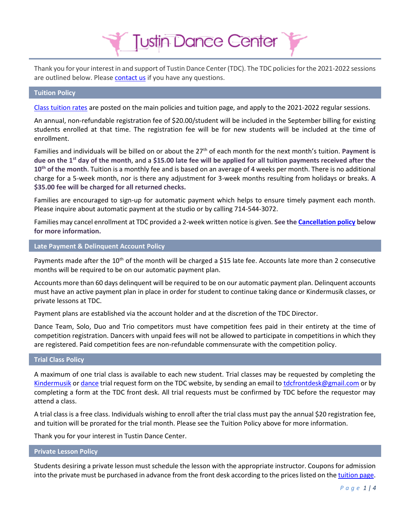Thank you for your interest in and support of Tustin Dance Center (TDC). The TDC policies for the 2021-2022 sessions are outlined below. Please [contact us](http://www.tustindance.com/Contact_Us.html) if you have any questions.

**Tustin Dance Center** 

#### **Tuition Policy**

[Class tuition rates](http://www.tustindance.com/policiestuition.html) are posted on the main policies and tuition page, and apply to the 2021-2022 regular sessions.

An annual, non-refundable registration fee of \$20.00/student will be included in the September billing for existing students enrolled at that time. The registration fee will be for new students will be included at the time of enrollment.

Families and individuals will be billed on or about the 27th of each month for the next month's tuition. **Payment is due on the 1st day of the month**, and a **\$15.00 late fee will be applied for all tuition payments received after the 10th of the month**. Tuition is a monthly fee and is based on an average of 4 weeks per month. There is no additional charge for a 5-week month, nor is there any adjustment for 3-week months resulting from holidays or breaks. **A \$35.00 fee will be charged for all returned checks.**

Families are encouraged to sign-up for automatic payment which helps to ensure timely payment each month. Please inquire about automatic payment at the studio or by calling 714-544-3072.

Families may cancel enrollment at TDC provided a 2-week written notice is given. **See th[e Cancellation policy](#page-1-0) below for more information.**

#### **Late Payment & Delinquent Account Policy**

Payments made after the 10<sup>th</sup> of the month will be charged a \$15 late fee. Accounts late more than 2 consecutive months will be required to be on our automatic payment plan.

Accounts more than 60 days delinquent will be required to be on our automatic payment plan. Delinquent accounts must have an active payment plan in place in order for student to continue taking dance or Kindermusik classes, or private lessons at TDC.

Payment plans are established via the account holder and at the discretion of the TDC Director.

Dance Team, Solo, Duo and Trio competitors must have competition fees paid in their entirety at the time of competition registration. Dancers with unpaid fees will not be allowed to participate in competitions in which they are registered. Paid competition fees are non-refundable commensurate with the competition policy.

# **Trial Class Policy**

A maximum of one trial class is available to each new student. Trial classes may be requested by completing the [Kindermusik](http://www.tustindance.com/demo-request.html) or [dance](http://www.tustindance.com/dance-request.html) trial request form on the TDC website, by sending an email t[o tdcfrontdesk@gmail.com](mailto:tdcfrontdesk@gmail.com) or by completing a form at the TDC front desk. All trial requests must be confirmed by TDC before the requestor may attend a class.

A trial class is a free class. Individuals wishing to enroll after the trial class must pay the annual \$20 registration fee, and tuition will be prorated for the trial month. Please see the Tuition Policy above for more information.

Thank you for your interest in Tustin Dance Center.

#### **Private Lesson Policy**

Students desiring a private lesson must schedule the lesson with the appropriate instructor. Coupons for admission into the private must be purchased in advance from the front desk according to the prices listed on th[e tuition page.](https://www.tustindance.com/policiestuition.html)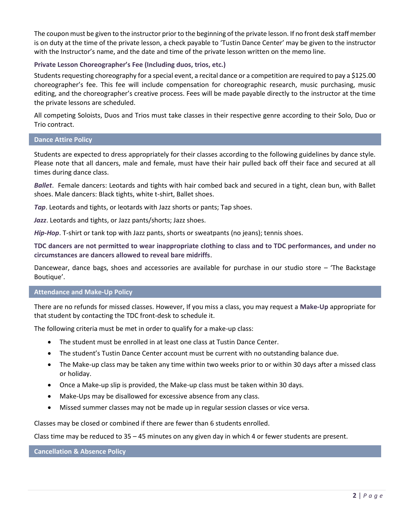The coupon must be given to the instructor prior to the beginning of the private lesson. If no front desk staff member is on duty at the time of the private lesson, a check payable to 'Tustin Dance Center' may be given to the instructor with the Instructor's name, and the date and time of the private lesson written on the memo line.

## **Private Lesson Choreographer's Fee (Including duos, trios, etc.)**

Students requesting choreography for a special event, a recital dance or a competition are required to pay a \$125.00 choreographer's fee. This fee will include compensation for choreographic research, music purchasing, music editing, and the choreographer's creative process. Fees will be made payable directly to the instructor at the time the private lessons are scheduled.

All competing Soloists, Duos and Trios must take classes in their respective genre according to their Solo, Duo or Trio contract.

## **Dance Attire Policy**

Students are expected to dress appropriately for their classes according to the following guidelines by dance style. Please note that all dancers, male and female, must have their hair pulled back off their face and secured at all times during dance class.

*Ballet*. Female dancers: Leotards and tights with hair combed back and secured in a tight, clean bun, with Ballet shoes. Male dancers: Black tights, white t-shirt, Ballet shoes.

*Tap*. Leotards and tights, or leotards with Jazz shorts or pants; Tap shoes.

*Jazz*. Leotards and tights, or Jazz pants/shorts; Jazz shoes.

*Hip-Hop*. T-shirt or tank top with Jazz pants, shorts or sweatpants (no jeans); tennis shoes.

**TDC dancers are not permitted to wear inappropriate clothing to class and to TDC performances, and under no circumstances are dancers allowed to reveal bare midriffs**.

Dancewear, dance bags, shoes and accessories are available for purchase in our studio store – 'The Backstage Boutique'.

#### **Attendance and Make-Up Policy**

There are no refunds for missed classes. However, If you miss a class, you may request a **Make-Up** appropriate for that student by contacting the TDC front-desk to schedule it.

The following criteria must be met in order to qualify for a make-up class:

- The student must be enrolled in at least one class at Tustin Dance Center.
- The student's Tustin Dance Center account must be current with no outstanding balance due.
- The Make-up class may be taken any time within two weeks prior to or within 30 days after a missed class or holiday.
- Once a Make-up slip is provided, the Make-up class must be taken within 30 days.
- Make-Ups may be disallowed for excessive absence from any class.
- Missed summer classes may not be made up in regular session classes or vice versa.

Classes may be closed or combined if there are fewer than 6 students enrolled.

Class time may be reduced to 35 – 45 minutes on any given day in which 4 or fewer students are present.

<span id="page-1-0"></span>**Cancellation & Absence Policy**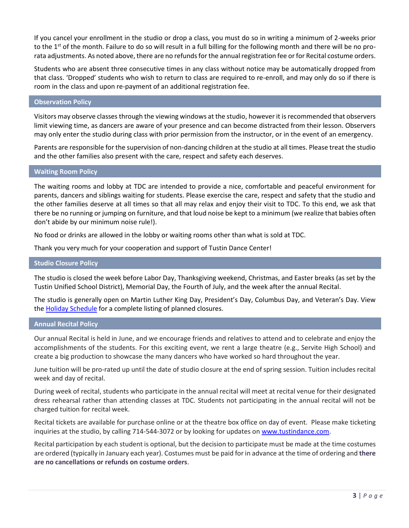If you cancel your enrollment in the studio or drop a class, you must do so in writing a minimum of 2-weeks prior to the 1<sup>st</sup> of the month. Failure to do so will result in a full billing for the following month and there will be no prorata adjustments. As noted above, there are no refunds for the annual registration fee or for Recital costume orders.

Students who are absent three consecutive times in any class without notice may be automatically dropped from that class. 'Dropped' students who wish to return to class are required to re-enroll, and may only do so if there is room in the class and upon re-payment of an additional registration fee.

#### **Observation Policy**

Visitors may observe classes through the viewing windows at the studio, however it is recommended that observers limit viewing time, as dancers are aware of your presence and can become distracted from their lesson. Observers may only enter the studio during class with prior permission from the instructor, or in the event of an emergency.

Parents are responsible for the supervision of non-dancing children at the studio at all times. Please treat the studio and the other families also present with the care, respect and safety each deserves.

### **Waiting Room Policy**

The waiting rooms and lobby at TDC are intended to provide a nice, comfortable and peaceful environment for parents, dancers and siblings waiting for students. Please exercise the care, respect and safety that the studio and the other families deserve at all times so that all may relax and enjoy their visit to TDC. To this end, we ask that there be no running or jumping on furniture, and that loud noise be kept to a minimum (we realize that babies often don't abide by our minimum noise rule!).

No food or drinks are allowed in the lobby or waiting rooms other than what is sold at TDC.

Thank you very much for your cooperation and support of Tustin Dance Center!

#### **Studio Closure Policy**

The studio is closed the week before Labor Day, Thanksgiving weekend, Christmas, and Easter breaks (as set by the Tustin Unified School District), Memorial Day, the Fourth of July, and the week after the annual Recital.

The studio is generally open on Martin Luther King Day, President's Day, Columbus Day, and Veteran's Day. View th[e Holiday Schedule](http://www.tustindance.com/TDC-Holiday-Schedule.html) for a complete listing of planned closures.

#### **Annual Recital Policy**

Our annual Recital is held in June, and we encourage friends and relatives to attend and to celebrate and enjoy the accomplishments of the students. For this exciting event, we rent a large theatre (e.g., Servite High School) and create a big production to showcase the many dancers who have worked so hard throughout the year.

June tuition will be pro-rated up until the date of studio closure at the end of spring session. Tuition includes recital week and day of recital.

During week of recital, students who participate in the annual recital will meet at recital venue for their designated dress rehearsal rather than attending classes at TDC. Students not participating in the annual recital will not be charged tuition for recital week.

Recital tickets are available for purchase online or at the theatre box office on day of event. Please make ticketing inquiries at the studio, by calling 714-544-3072 or by looking for updates on [www.tustindance.com.](http://www.tustindance.com/)

Recital participation by each student is optional, but the decision to participate must be made at the time costumes are ordered (typically in January each year). Costumes must be paid for in advance at the time of ordering and **there are no cancellations or refunds on costume orders**.